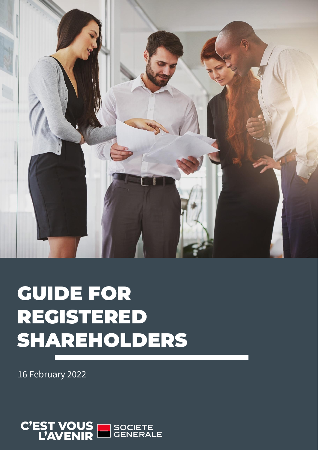

# GUIDE FOR REGISTERED SHAREHOLDERS

16 February 2022

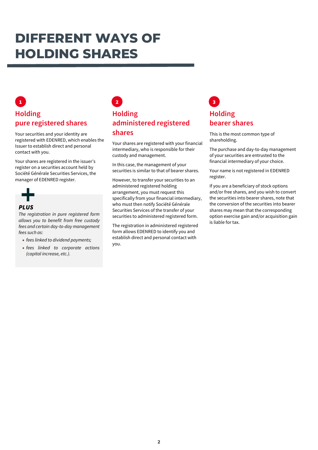### **DIFFERENT WAYS OF HOLDING SHARES**

### **Holding pure registered shares**

Your securities and your identity are registered with EDENRED, which enables the Issuer to establish direct and personal contact with you.

Your shares are registered in the issuer's register on a securities account held by Société Générale Securities Services, the manager of EDENRED register.



#### *PLUS*

*The registration in pure registered form allows you to benefit from free custody fees and certain day-to-day management fees such as:*

- *fees linked to dividend payments;*
- *fees linked to corporate actions (capital increase, etc.).*

### **Holding administered registered shares**  $\begin{array}{|c|c|c|c|c|}\n\hline\n1 & 3 & 3 \\
\hline\n\end{array}$

Your shares are registered with your financial intermediary, who is responsible for their custody and management.

In this case, the management of your securities is similar to that of bearer shares.

However, to transfer your securities to an administered registered holding arrangement, you must request this specifically from your financial intermediary, who must then notify Société Générale Securities Services of the transfer of your securities to administered registered form.

The registration in administered registered form allows EDENRED to identify you and establish direct and personal contact with you.

### **Holding bearer shares**

This is the most common type of shareholding.

The purchase and day-to-day management of your securities are entrusted to the financial intermediary of your choice.

Your name is not registered in EDENRED register.

If you are a beneficiary of stock options and/or free shares, and you wish to convert the securities into bearer shares, note that the conversion of the securities into bearer shares may mean that the corresponding option exercise gain and/or acquisition gain is liable for tax.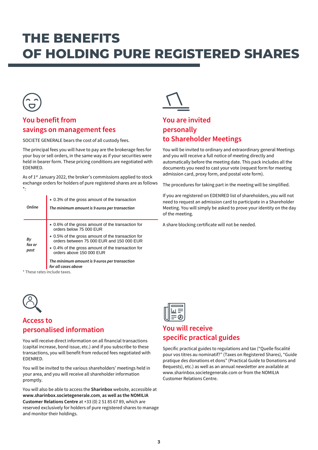## **THE BENEFITS OF HOLDING PURE REGISTERED SHARES**



### **You benefit from savings on management fees**

SOCIETE GENERALE bears the cost of all custody fees.

The principal fees you will have to pay are the brokerage fees for your buy or sell orders, in the same way as if your securities were held in bearer form. These pricing conditions are negotiated with EDENRED.

As of 1<sup>st</sup> January 2022, the broker's commissions applied to stock exchange orders for holders of pure registered shares are as follows \*:

| Online               | • 0.3% of the gross amount of the transaction<br>The minimum amount is 9 euros per transaction                                                                                                                                                                                                                                          |
|----------------------|-----------------------------------------------------------------------------------------------------------------------------------------------------------------------------------------------------------------------------------------------------------------------------------------------------------------------------------------|
| By<br>fax or<br>post | • 0.6% of the gross amount of the transaction for<br>orders below 75 000 EUR<br>• 0.5% of the gross amount of the transaction for<br>orders between 75 000 EUR and 150 000 EUR<br>• 0.4% of the gross amount of the transaction for<br>orders above 150 000 EUR<br>The minimum amount is 9 euros per transaction<br>for all cases above |

These rates include taxes.



#### **Access to personalised information**

You will receive direct information on all financial transactions (capital increase, bond issue, etc.) and if you subscribe to these transactions, you will benefit from reduced fees negotiated with EDENRED.

You will be invited to the various shareholders' meetings held in your area, and you will receive all shareholder information promptly.

You will also be able to access the **Sharinbox** website, accessible at **www.sharinbox.societegenerale.com**, **as well as the NOMILIA Customer Relations Centre** at +33 (0) 2 51 85 67 89, which are reserved exclusively for holders of pure registered shares to manage and monitor their holdings.



### **You are invited personally to Shareholder Meetings**

You will be invited to ordinary and extraordinary general Meetings and you will receive a full notice of meeting directly and automatically before the meeting date. This pack includes all the documents you need to cast your vote (request form for meeting admission card, proxy form, and postal vote form).

The procedures for taking part in the meeting will be simplified.

If you are registered on EDENRED list of shareholders, you will not need to request an admission card to participate in a Shareholder Meeting. You will simply be asked to prove your identity on the day of the meeting.

A share blocking certificate will not be needed.

|--|--|--|

### **You will receive specific practical guides**

Specific practical guides to regulations and tax ("Quelle fiscalité pour vos titres au nominatif?" (Taxes on Registered Shares), "Guide pratique des donations et dons" (Practical Guide to Donations and Bequests), etc.) as well as an annual newsletter are available at www.sharinbox.societegenerale.com or from the NOMILIA Customer Relations Centre.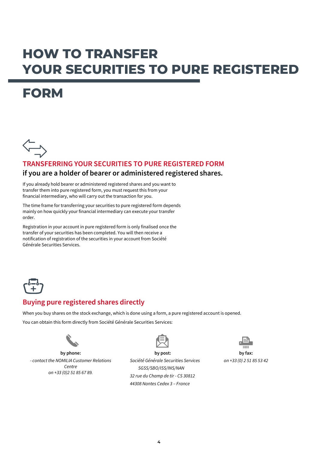### **HOW TO TRANSFER YOUR SECURITIES TO PURE REGISTERED**

### **FORM**



#### **TRANSFERRING YOUR SECURITIES TO PURE REGISTERED FORM if you are a holder of bearer or administered registered shares.**

If you already hold bearer or administered registered shares and you want to transfer them into pure registered form, you must request this from your financial intermediary, who will carry out the transaction for you.

The time frame for transferring your securities to pure registered form depends mainly on how quickly your financial intermediary can execute your transfer order.

Registration in your account in pure registered form is only finalised once the transfer of your securities has been completed. You will then receive a notification of registration of the securities in your account from Société Générale Securities Services.



### **Buying pure registered shares directly**

When you buy shares on the stock exchange, which is done using a form, a pure registered account is opened.

You can obtain this form directly from Société Générale Securities Services:



**by phone:** *- contact the NOMILIA Customer Relations Centre on +33 (0)2 51 85 67 89.*



*Société Générale Securities Services SGSS/SBO/ISS/INS/NAN 32 rue du Champ de tir - CS 30812 44308 Nantes Cedex 3 – France*



*on +33 (0) 2 51 85 53 42*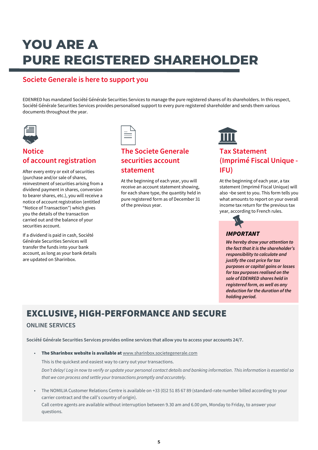# **YOU ARE A PURE REGISTERED SHAREHOLDER**

#### **Societe Generale is here to support you**

EDENRED has mandated Société Générale Securities Services to manage the pure registered shares of its shareholders. In this respect, Société Générale Securities Services provides personalised support to every pure registered shareholder and sends them various documents throughout the year.



### **Notice of account registration**

After every entry or exit of securities (purchase and/or sale of shares, reinvestment of securities arising from a dividend payment in shares, conversion to bearer shares, etc.), you will receive a notice of account registration (entitled "Notice of Transaction") which gives you the details of the transaction carried out and the balance of your securities account.

If a dividend is paid in cash, Société Générale Securities Services will transfer the funds into your bank account, as long as your bank details are updated on Sharinbox.



### **The Societe Generale securities account statement**

At the beginning of each year, you will receive an account statement showing, for each share type, the quantity held in pure registered form as of December 31 of the previous year.



### **Tax Statement (Imprimé Fiscal Unique - IFU)**

At the beginning of each year, a tax statement (Imprimé Fiscal Unique) will also ¬be sent to you. This form tells you what amounts to report on your overall income tax return for the previous tax year, according to French rules.



#### *We hereby draw your attention to the fact that it is the shareholder's responsibility to calculate and justify the cost price for tax purposes or capital gains or losses for tax purposes realised on the sale of EDENRED shares held in registered form, as well as any deduction for the duration of the holding period.*

### EXCLUSIVE, HIGH-PERFORMANCE AND SECURE

#### **ONLINE SERVICES**

**Société Générale Securities Services provides online services that allow you to access your accounts 24/7.**

- The Sharinbox website is available at [www.sharinbox.societegenerale.com](http://www.sharinbox.societegenerale.com/) This is the quickest and easiest way to carry out your transactions. *Don't delay! Log in now to verify or update your personal contact details and banking information. This information is essential so that we can process and settle your transactions promptly and accurately.*
- The NOMILIA Customer Relations Centre is available on +33 (0)2 51 85 67 89 (standard-rate number billed according to your carrier contract and the call's country of origin). Call centre agents are available without interruption between 9.30 am and 6.00 pm, Monday to Friday, to answer your

questions.